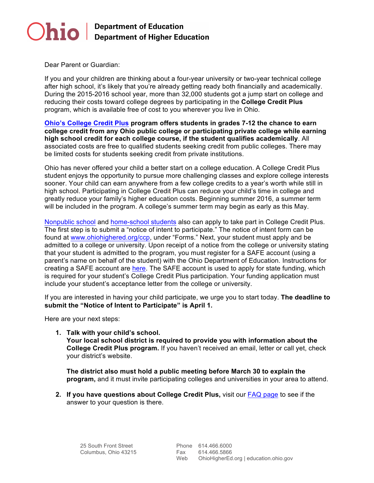

Dear Parent or Guardian:

If you and your children are thinking about a four-year university or two-year technical college after high school, it's likely that you're already getting ready both financially and academically. During the 2015-2016 school year, more than 32,000 students got a jump start on college and reducing their costs toward college degrees by participating in the **College Credit Plus**  program, which is available free of cost to you wherever you live in Ohio.

**[Ohio's College Credit Plus](https://www.ohiohighered.org/content/college_credit_plus_info_students_families) program offers students in grades 7-12 the chance to earn college credit from any Ohio public college or participating private college while earning high school credit for each college course, if the student qualifies academically**. All associated costs are free to qualified students seeking credit from public colleges. There may be limited costs for students seeking credit from private institutions.

Ohio has never offered your child a better start on a college education. A College Credit Plus student enjoys the opportunity to pursue more challenging classes and explore college interests sooner. Your child can earn anywhere from a few college credits to a year's worth while still in high school. Participating in College Credit Plus can reduce your child's time in college and greatly reduce your family's higher education costs. Beginning summer 2016, a summer term will be included in the program. A college's summer term may begin as early as this May.

[Nonpublic school](http://education.ohio.gov/Topics/Quality-School-Choice/Private-Schools/College-Credit-Plus-for-Nonpublic-School-Families) and [home-school students](http://education.ohio.gov/Topics/Quality-School-Choice/Home-Schooling/College-Credit-Plus-for-Home-School-Families) also can apply to take part in College Credit Plus. The first step is to submit a "notice of intent to participate." The notice of intent form can be found at [www.ohiohighered.org/ccp](http://www.ohiohighered.org/ccp), under "Forms." Next, your student must apply and be admitted to a college or university. Upon receipt of a notice from the college or university stating that your student is admitted to the program, you must register for a SAFE account (using a parent's name on behalf of the student) with the Ohio Department of Education. Instructions for creating a SAFE account are [here](https://safe.ode.state.oh.us/portal). The SAFE account is used to apply for state funding, which is required for your student's College Credit Plus participation. Your funding application must include your student's acceptance letter from the college or university.

If you are interested in having your child participate, we urge you to start today. **The deadline to submit the "Notice of Intent to Participate" is April 1.** 

Here are your next steps:

**1. Talk with your child's school. Your local school district is required to provide you with information about the College Credit Plus program.** If you haven't received an email, letter or call yet, check your district's website.

**The district also must hold a public meeting before March 30 to explain the program,** and it must invite participating colleges and universities in your area to attend.

**2. If you have questions about College Credit Plus,** visit our [FAQ page](https://www.ohiohighered.org/node/5557) to see if the answer to your question is there.